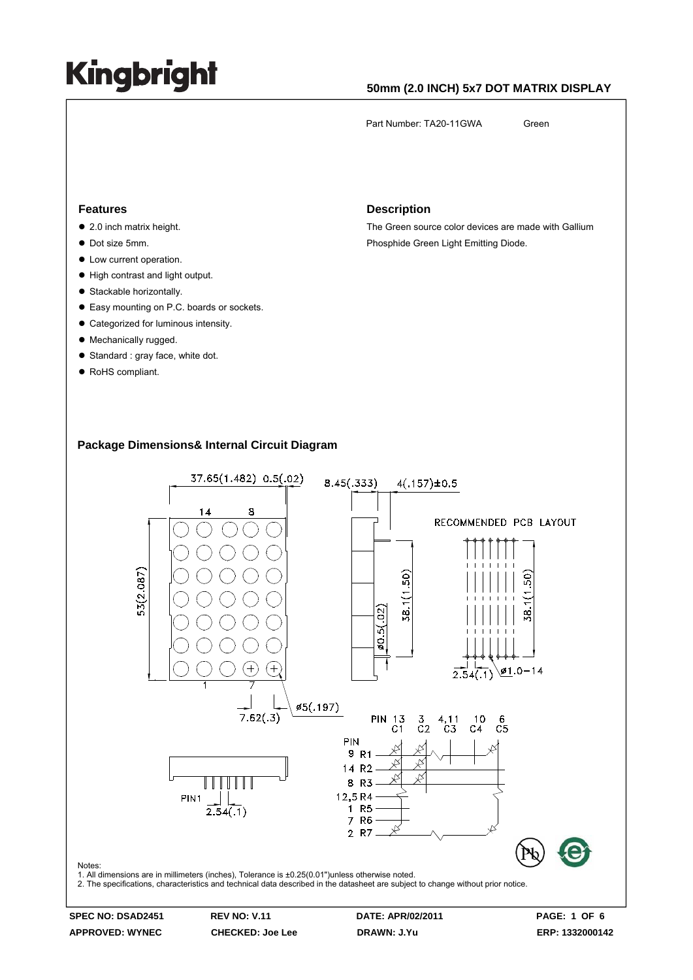### **50mm (2.0 INCH) 5x7 DOT MATRIX DISPLAY**

Part Number: TA20-11GWA Green

#### **Features**

- $\bullet$  2.0 inch matrix height.
- $\bullet$  Dot size 5mm.
- $\bullet$  Low current operation.
- High contrast and light output.
- Stackable horizontally.
- Easy mounting on P.C. boards or sockets.
- Categorized for luminous intensity.
- Mechanically rugged.
- Standard : gray face, white dot.
- RoHS compliant.

#### **Description**

The Green source color devices are made with Gallium Phosphide Green Light Emitting Diode.

#### **Package Dimensions& Internal Circuit Diagram**

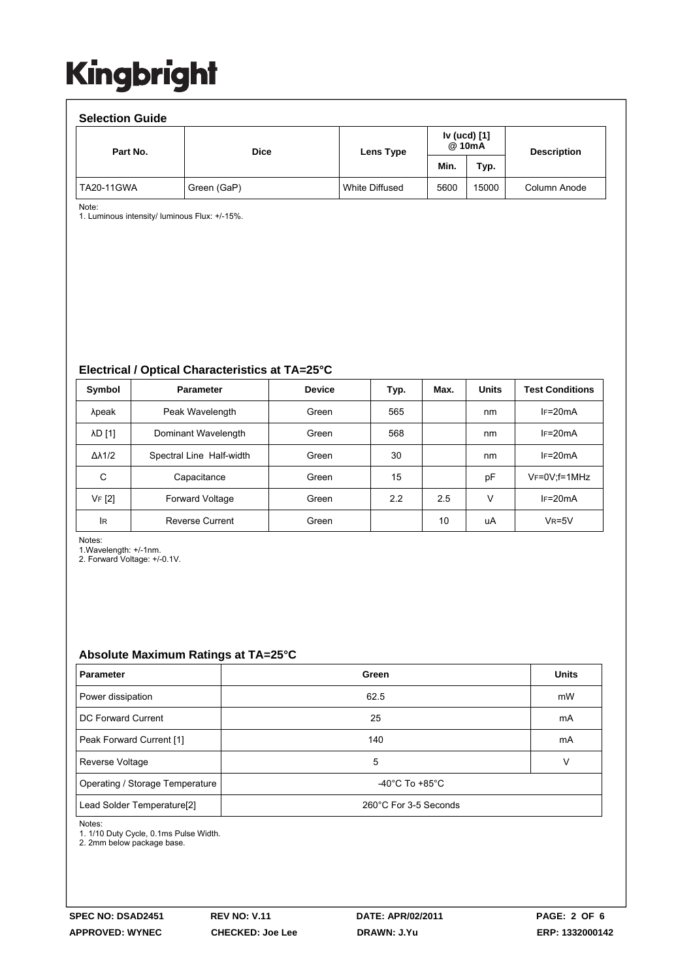| <b>Selection Guide</b> |             |                |                        |       |                    |  |  |  |  |  |
|------------------------|-------------|----------------|------------------------|-------|--------------------|--|--|--|--|--|
| Part No.               | <b>Dice</b> | Lens Type      | Iv (ucd) [1]<br>@ 10mA |       | <b>Description</b> |  |  |  |  |  |
|                        |             |                | Min.                   | Typ.  |                    |  |  |  |  |  |
| <b>TA20-11GWA</b>      | Green (GaP) | White Diffused | 5600                   | 15000 | Column Anode       |  |  |  |  |  |

Note:

1. Luminous intensity/ luminous Flux: +/-15%.

**Electrical / Optical Characteristics at TA=25°C**

| Symbol              | <b>Parameter</b>         | <b>Device</b> | Typ. | Max. | <b>Units</b> | <b>Test Conditions</b> |
|---------------------|--------------------------|---------------|------|------|--------------|------------------------|
| λpeak               | Peak Wavelength          | Green         | 565  |      | nm           | $IF=20mA$              |
| <b>AD</b> [1]       | Dominant Wavelength      | Green         | 568  |      | nm           | $IF=20mA$              |
| $\Delta\lambda$ 1/2 | Spectral Line Half-width | Green         | 30   |      | nm           | $IF=20mA$              |
| С                   | Capacitance              | Green         | 15   |      | pF           | $V_F = 0V$ ; f = 1MHz  |
| VF [2]              | <b>Forward Voltage</b>   | Green         | 2.2  | 2.5  | v            | $IF=20mA$              |
| lR.                 | <b>Reverse Current</b>   | Green         |      | 10   | uA           | $VR=5V$                |

Notes:

1.Wavelength: +/-1nm.

2. Forward Voltage: +/-0.1V.

### **Absolute Maximum Ratings at TA=25°C**

| <b>Parameter</b>                                                        | Green | <b>Units</b> |
|-------------------------------------------------------------------------|-------|--------------|
| Power dissipation                                                       | 62.5  | mW           |
| DC Forward Current                                                      | 25    | mA           |
| Peak Forward Current [1]                                                | 140   | mA           |
| Reverse Voltage                                                         | 5     | v            |
| -40 $^{\circ}$ C To +85 $^{\circ}$ C<br>Operating / Storage Temperature |       |              |
| Lead Solder Temperature[2]<br>260°C For 3-5 Seconds                     |       |              |

Notes:

1. 1/10 Duty Cycle, 0.1ms Pulse Width.

2. 2mm below package base.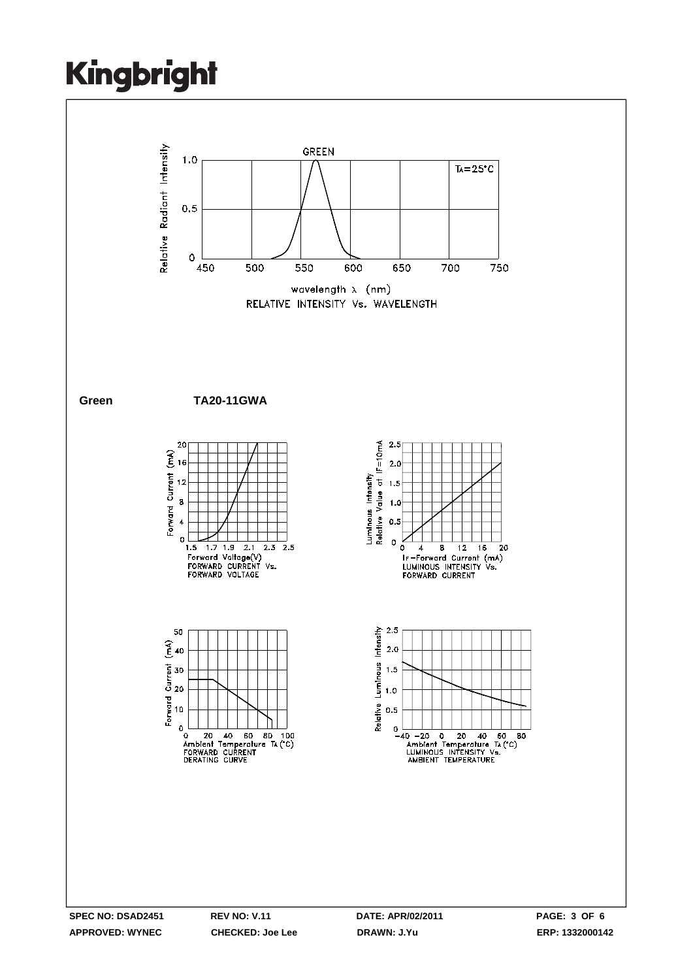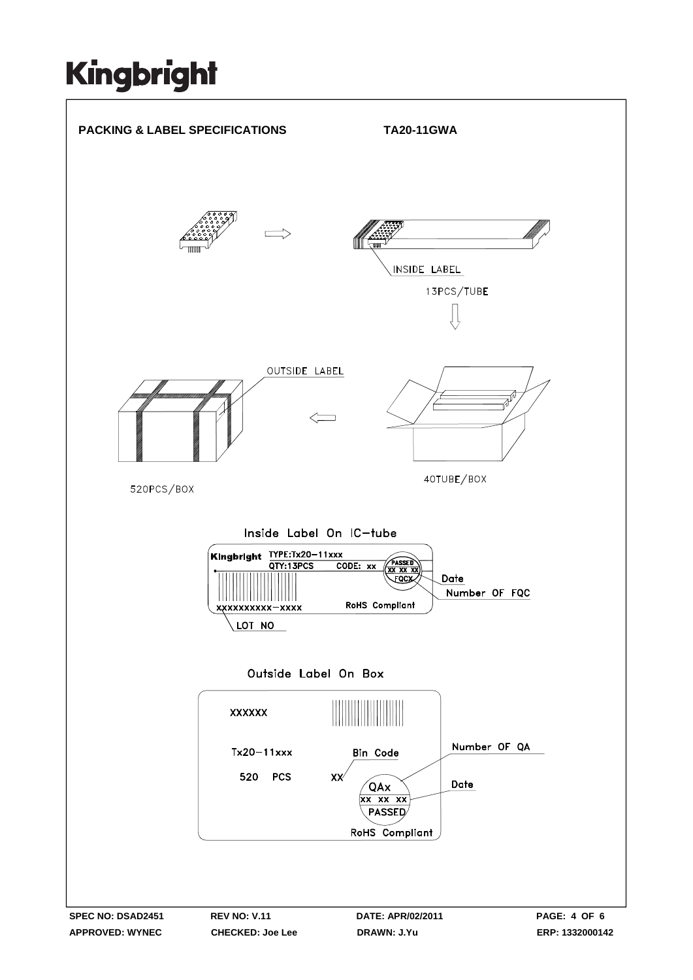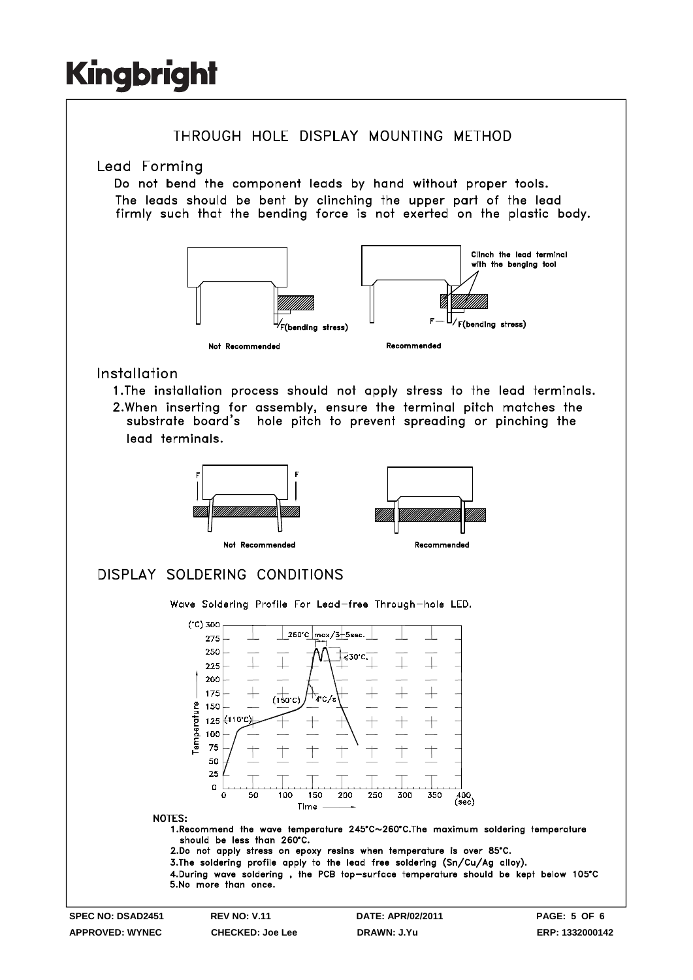